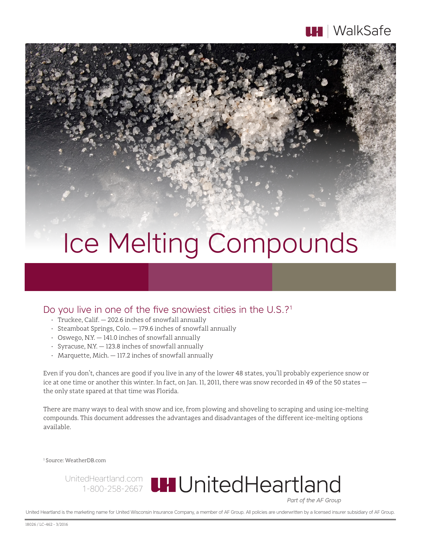

## Ice Melting Compounds

## Do you live in one of the five snowiest cities in the U.S.?<sup>1</sup>

- • Truckee, Calif. 202.6 inches of snowfall annually
- • Steamboat Springs, Colo. 179.6 inches of snowfall annually
- $\cdot$  Oswego, N.Y.  $-$  141.0 inches of snowfall annually
- $\cdot$  Syracuse, N.Y.  $-$  123.8 inches of snowfall annually
- • Marquette, Mich. 117.2 inches of snowfall annually

Even if you don't, chances are good if you live in any of the lower 48 states, you'll probably experience snow or ice at one time or another this winter. In fact, on Jan. 11, 2011, there was snow recorded in 49 of the 50 states the only state spared at that time was Florida.

There are many ways to deal with snow and ice, from plowing and shoveling to scraping and using ice-melting compounds. This document addresses the advantages and disadvantages of the different ice-melting options available.

1 Source: WeatherDB.com

UnitedHeartland.com 1-800-258-2667

Part of the AF Group

United Heartland is the marketing name for United Wisconsin Insurance Company, a member of AF Group. All policies are underwritten by a licensed insurer subsidiary of AF Group.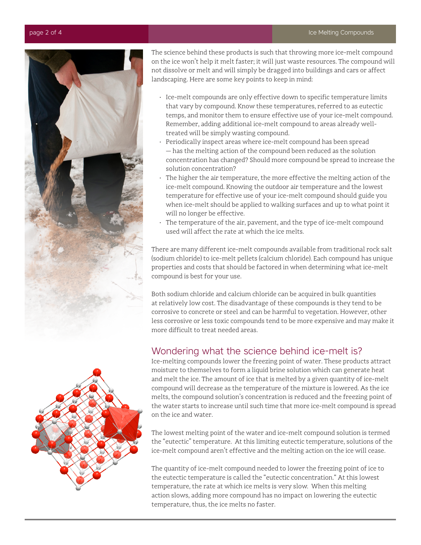

The science behind these products is such that throwing more ice-melt compound on the ice won't help it melt faster; it will just waste resources. The compound will not dissolve or melt and will simply be dragged into buildings and cars or affect landscaping. Here are some key points to keep in mind:

- Ice-melt compounds are only effective down to specific temperature limits that vary by compound. Know these temperatures, referred to as eutectic temps, and monitor them to ensure effective use of your ice-melt compound. Remember, adding additional ice-melt compound to areas already welltreated will be simply wasting compound.
- Periodically inspect areas where ice-melt compound has been spread — has the melting action of the compound been reduced as the solution concentration has changed? Should more compound be spread to increase the solution concentration?
- The higher the air temperature, the more effective the melting action of the ice-melt compound. Knowing the outdoor air temperature and the lowest temperature for effective use of your ice-melt compound should guide you when ice-melt should be applied to walking surfaces and up to what point it will no longer be effective.
- The temperature of the air, pavement, and the type of ice-melt compound used will affect the rate at which the ice melts.

There are many different ice-melt compounds available from traditional rock salt (sodium chloride) to ice-melt pellets (calcium chloride). Each compound has unique properties and costs that should be factored in when determining what ice-melt compound is best for your use.

Both sodium chloride and calcium chloride can be acquired in bulk quantities at relatively low cost. The disadvantage of these compounds is they tend to be corrosive to concrete or steel and can be harmful to vegetation. However, other less corrosive or less toxic compounds tend to be more expensive and may make it more difficult to treat needed areas.

## Wondering what the science behind ice-melt is?

Ice-melting compounds lower the freezing point of water. These products attract moisture to themselves to form a liquid brine solution which can generate heat and melt the ice. The amount of ice that is melted by a given quantity of ice-melt compound will decrease as the temperature of the mixture is lowered. As the ice melts, the compound solution's concentration is reduced and the freezing point of the water starts to increase until such time that more ice-melt compound is spread on the ice and water.

The lowest melting point of the water and ice-melt compound solution is termed the "eutectic" temperature. At this limiting eutectic temperature, solutions of the ice-melt compound aren't effective and the melting action on the ice will cease.

The quantity of ice-melt compound needed to lower the freezing point of ice to the eutectic temperature is called the "eutectic concentration." At this lowest temperature, the rate at which ice melts is very slow. When this melting action slows, adding more compound has no impact on lowering the eutectic temperature, thus, the ice melts no faster.

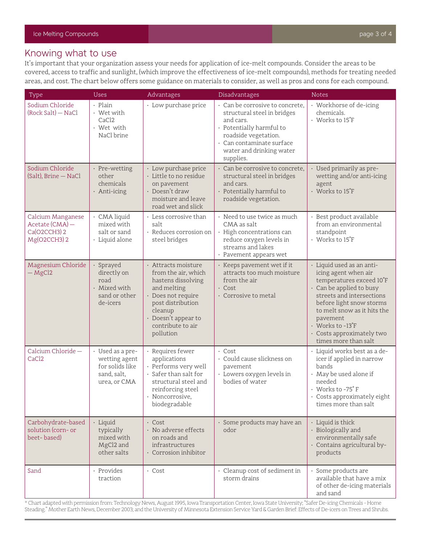## Knowing what to use

It's important that your organization assess your needs for application of ice-melt compounds. Consider the areas to be covered, access to traffic and sunlight, (which improve the effectiveness of ice-melt compounds), methods for treating needed areas, and cost. The chart below offers some guidance on materials to consider, as well as pros and cons for each compound.

| Type                                                                 | <b>Uses</b>                                                                         | Advantages                                                                                                                                                                                     | Disadvantages                                                                                                                                                                                         | <b>Notes</b>                                                                                                                                                                                                                                                                                            |
|----------------------------------------------------------------------|-------------------------------------------------------------------------------------|------------------------------------------------------------------------------------------------------------------------------------------------------------------------------------------------|-------------------------------------------------------------------------------------------------------------------------------------------------------------------------------------------------------|---------------------------------------------------------------------------------------------------------------------------------------------------------------------------------------------------------------------------------------------------------------------------------------------------------|
| Sodium Chloride<br>(Rock Salt) - NaCl                                | · Plain<br>• Wet with<br>CaC <sub>12</sub><br>• Wet with<br>NaCl brine              | · Low purchase price                                                                                                                                                                           | · Can be corrosive to concrete,<br>structural steel in bridges<br>and cars.<br>· Potentially harmful to<br>roadside vegetation.<br>· Can contaminate surface<br>water and drinking water<br>supplies. | • Workhorse of de-icing<br>chemicals.<br>· Works to 15°F                                                                                                                                                                                                                                                |
| Sodium Chloride<br>(Salt), Brine - NaCl                              | · Pre-wetting<br>other<br>chemicals<br>· Anti-icing                                 | · Low purchase price<br>· Little to no residue<br>on pavement<br>· Doesn't draw<br>moisture and leave<br>road wet and slick                                                                    | · Can be corrosive to concrete,<br>structural steel in bridges<br>and cars.<br>· Potentially harmful to<br>roadside vegetation.                                                                       | · Used primarily as pre-<br>wetting and/or anti-icing<br>agent<br>· Works to 15°F                                                                                                                                                                                                                       |
| Calcium Manganese<br>Acetate (CMA) -<br>Ca(O2CCH3) 2<br>Mg(O2CCH3) 2 | · CMA liquid<br>mixed with<br>salt or sand<br>· Liquid alone                        | • Less corrosive than<br>salt<br>· Reduces corrosion on<br>steel bridges                                                                                                                       | · Need to use twice as much<br>CMA as salt<br>· High concentrations can<br>reduce oxygen levels in<br>streams and lakes<br>· Pavement appears wet                                                     | · Best product available<br>from an environmental<br>standpoint<br>· Works to 15°F                                                                                                                                                                                                                      |
| Magnesium Chloride<br>$-MgCl2$                                       | Sprayed<br>directly on<br>road<br>· Mixed with<br>sand or other<br>de-icers         | · Attracts moisture<br>from the air, which<br>hastens dissolving<br>and melting<br>· Does not require<br>post distribution<br>cleanup<br>· Doesn't appear to<br>contribute to air<br>pollution | · Keeps pavement wet if it<br>attracts too much moisture<br>from the air<br>$\cdot$ Cost<br>· Corrosive to metal                                                                                      | · Liquid used as an anti-<br>icing agent when air<br>temperatures exceed 10°F<br>· Can be applied to busy<br>streets and intersections<br>before light snow storms<br>to melt snow as it hits the<br>pavement<br>$\cdot$ Works to -13 $\mathrm{F}$<br>· Costs approximately two<br>times more than salt |
| Calcium Chloride-<br>CaCl <sub>2</sub>                               | · Used as a pre-<br>wetting agent<br>for solids like<br>sand, salt,<br>urea, or CMA | · Requires fewer<br>applications<br>· Performs very well<br>$\cdot$ Safer than salt for<br>structural steel and<br>reinforcing steel<br>Noncorrosive,<br>biodegradable                         | $\cdot$ Cost<br>· Could cause slickness on<br>pavement<br>· Lowers oxygen levels in<br>bodies of water                                                                                                | · Liquid works best as a de-<br>icer if applied in narrow<br>bands<br>· May be used alone if<br>needed<br>• Works to -75°F<br>· Costs approximately eight<br>times more than salt                                                                                                                       |
| Carbohydrate-based<br>solution (corn- or<br>beet-based)              | · Liquid<br>typically<br>mixed with<br>MgCl2 and<br>other salts                     | $\cdot$ Cost<br>· No adverse effects<br>on roads and<br>infrastructures<br>· Corrosion inhibitor                                                                                               | · Some products may have an<br>odor                                                                                                                                                                   | $\cdot$ Liquid is thick<br>· Biologically and<br>environmentally safe<br>· Contains agricultural by-<br>products                                                                                                                                                                                        |
| Sand                                                                 | · Provides<br>traction                                                              | $\cdot$ Cost                                                                                                                                                                                   | · Cleanup cost of sediment in<br>storm drains                                                                                                                                                         | · Some products are<br>available that have a mix<br>of other de-icing materials<br>and sand                                                                                                                                                                                                             |

\* Chart adapted with permission from: Technology News, August 1995, Iowa Transportation Center, Iowa State University; "Safer De-icing Chemicals - Home Steading." Mother Earth News, December 2003; and the University of Minnesota Extension Service Yard & Garden Brief: Effects of De-icers on Trees and Shrubs.